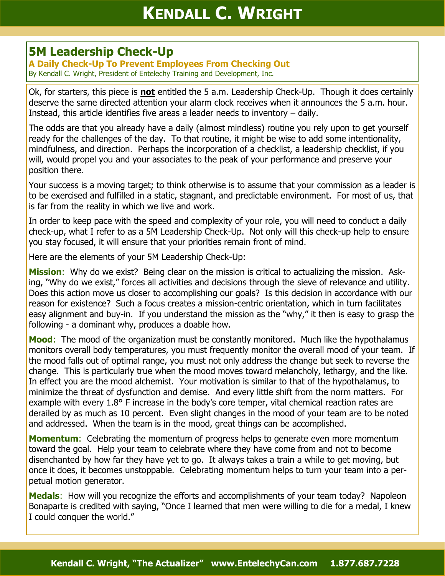## **5M Leadership Check-Up**

**A Daily Check-Up To Prevent Employees From Checking Out** By Kendall C. Wright, President of Entelechy Training and Development, Inc.

Ok, for starters, this piece is **not** entitled the 5 a.m. Leadership Check-Up. Though it does certainly deserve the same directed attention your alarm clock receives when it announces the 5 a.m. hour. Instead, this article identifies five areas a leader needs to inventory – daily.

The odds are that you already have a daily (almost mindless) routine you rely upon to get yourself ready for the challenges of the day. To that routine, it might be wise to add some intentionality, mindfulness, and direction. Perhaps the incorporation of a checklist, a leadership checklist, if you will, would propel you and your associates to the peak of your performance and preserve your position there.

Your success is a moving target; to think otherwise is to assume that your commission as a leader is to be exercised and fulfilled in a static, stagnant, and predictable environment. For most of us, that is far from the reality in which we live and work.

In order to keep pace with the speed and complexity of your role, you will need to conduct a daily check-up, what I refer to as a 5M Leadership Check-Up. Not only will this check-up help to ensure you stay focused, it will ensure that your priorities remain front of mind.

Here are the elements of your 5M Leadership Check-Up:

**Mission**: Why do we exist? Being clear on the mission is critical to actualizing the mission. Asking, "Why do we exist," forces all activities and decisions through the sieve of relevance and utility. Does this action move us closer to accomplishing our goals? Is this decision in accordance with our reason for existence? Such a focus creates a mission-centric orientation, which in turn facilitates easy alignment and buy-in. If you understand the mission as the "why," it then is easy to grasp the following - a dominant why, produces a doable how.

**Mood**: The mood of the organization must be constantly monitored. Much like the hypothalamus monitors overall body temperatures, you must frequently monitor the overall mood of your team. If the mood falls out of optimal range, you must not only address the change but seek to reverse the change. This is particularly true when the mood moves toward melancholy, lethargy, and the like. In effect you are the mood alchemist. Your motivation is similar to that of the hypothalamus, to minimize the threat of dysfunction and demise. And every little shift from the norm matters. For example with every 1.8° F increase in the body's core temper, vital chemical reaction rates are derailed by as much as 10 percent. Even slight changes in the mood of your team are to be noted and addressed. When the team is in the mood, great things can be accomplished.

**Momentum:** Celebrating the momentum of progress helps to generate even more momentum toward the goal. Help your team to celebrate where they have come from and not to become disenchanted by how far they have yet to go. It always takes a train a while to get moving, but once it does, it becomes unstoppable. Celebrating momentum helps to turn your team into a perpetual motion generator.

**Medals:** How will you recognize the efforts and accomplishments of your team today? Napoleon Bonaparte is credited with saying, "Once I learned that men were willing to die for a medal, I knew I could conquer the world."